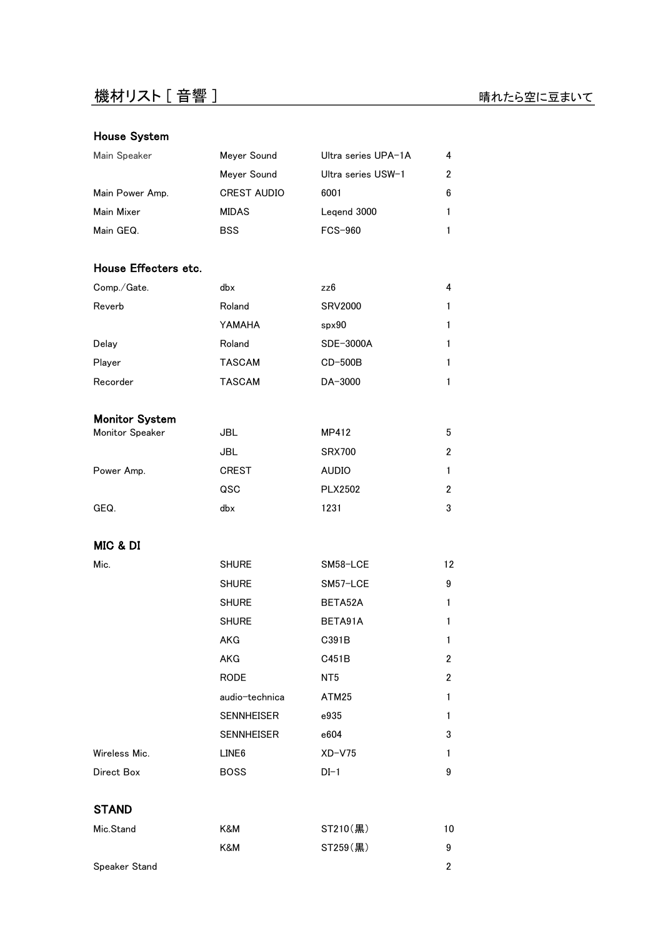# House System

| Main Speaker    | Meyer Sound        | Ultra series UPA-1A | 4 |
|-----------------|--------------------|---------------------|---|
|                 | Meyer Sound        | Ultra series USW-1  | 2 |
| Main Power Amp. | <b>CREST AUDIO</b> | 6001                | 6 |
| Main Mixer      | <b>MIDAS</b>       | Legend 3000         | 1 |
| Main GEQ.       | <b>BSS</b>         | <b>FCS-960</b>      |   |
|                 |                    |                     |   |

# House Effecters etc.

| Comp./Gate. | dbx           | zz6            | 4 |
|-------------|---------------|----------------|---|
| Reverb      | Roland        | <b>SRV2000</b> |   |
|             | YAMAHA        | spr90          |   |
| Delay       | Roland        | SDE-3000A      |   |
| Player      | <b>TASCAM</b> | $CD-500B$      |   |
| Recorder    | <b>TASCAM</b> | DA-3000        |   |

### Monitor System

| Monitor Speaker | JBL          | MP412          | 5              |
|-----------------|--------------|----------------|----------------|
|                 | JBL          | <b>SRX700</b>  | 2              |
| Power Amp.      | <b>CREST</b> | <b>AUDIO</b>   |                |
|                 | QSC          | <b>PLX2502</b> | $\overline{2}$ |
| GEQ.            | dbx          | 1231           | 3              |

# MIC & DI

| Mic.          | <b>SHURE</b>      | SM58-LCE        | 12             |
|---------------|-------------------|-----------------|----------------|
|               | <b>SHURE</b>      | SM57-LCE        | 9              |
|               | <b>SHURE</b>      | BETA52A         | 1              |
|               | <b>SHURE</b>      | BETA91A         | 1              |
|               | AKG               | C391B           | $\mathbf{1}$   |
|               | AKG               | C451B           | $\overline{2}$ |
|               | RODE              | NT <sub>5</sub> | $\overline{2}$ |
|               | audio-technica    | ATM25           | $\mathbf{1}$   |
|               | <b>SENNHEISER</b> | e935            | $\mathbf{1}$   |
|               | <b>SENNHEISER</b> | e604            | 3              |
| Wireless Mic. | LINE <sub>6</sub> | $XD$ - $V$ 75   | $\mathbf{1}$   |
| Direct Box    | <b>BOSS</b>       | $DI-1$          | 9              |
| <b>STAND</b>  |                   |                 |                |

| Mic.Stand            | K&M | $ST210(\mathbb{R})$ | 10 |
|----------------------|-----|---------------------|----|
|                      | K&M | $ST259(\nexists)$   | 9  |
| <b>Speaker Stand</b> |     |                     |    |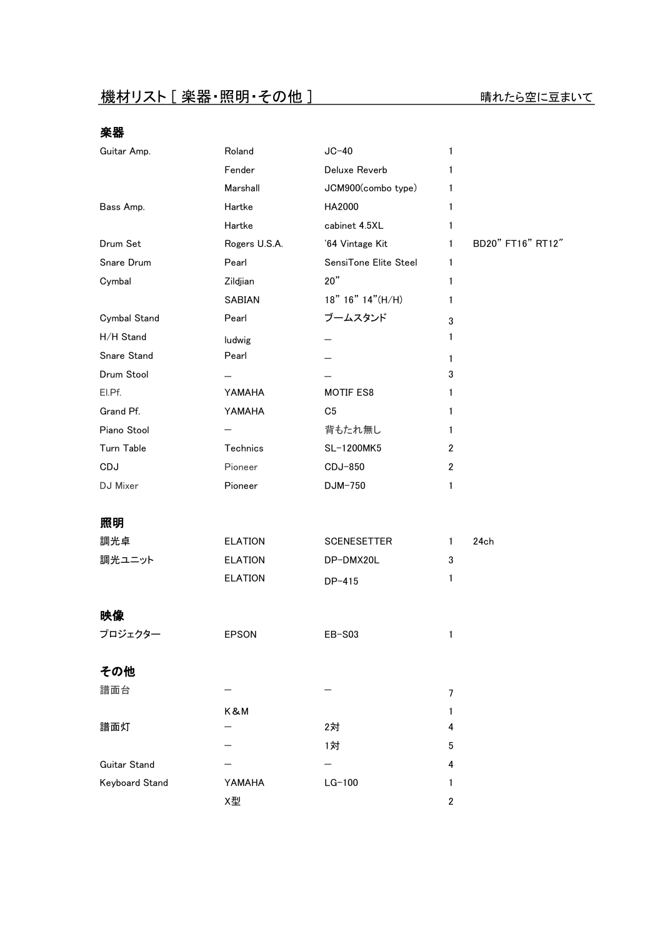# 楽器

| Guitar Amp.           | Roland         | $JC-40$               | 1              |                   |
|-----------------------|----------------|-----------------------|----------------|-------------------|
|                       | Fender         | Deluxe Reverb         | 1              |                   |
|                       | Marshall       | JCM900(combo type)    | 1              |                   |
| Bass Amp.             | Hartke         | HA2000                | 1              |                   |
|                       | Hartke         | cabinet 4.5XL         | 1              |                   |
| Drum Set              | Rogers U.S.A.  | '64 Vintage Kit       | 1              | BD20" FT16" RT12" |
| Snare Drum            | Pearl          | SensiTone Elite Steel | 1              |                   |
| Cymbal                | Zildjian       | 20"                   | 1              |                   |
|                       | SABIAN         | 18" 16" 14" (H/H)     | 1              |                   |
| Cymbal Stand          | Pearl          | ブームスタンド               | 3              |                   |
| H/H Stand             | ludwig         |                       | 1              |                   |
| Snare Stand           | Pearl          |                       | 1              |                   |
| Drum Stool            |                |                       | 3              |                   |
| EI.Pf.                | YAMAHA         | MOTIF ES8             | 1              |                   |
| Grand Pf.             | YAMAHA         | C <sub>5</sub>        | 1              |                   |
| Piano Stool           |                | 背もたれ無し                | 1              |                   |
| Turn Table            | Technics       | SL-1200MK5            | $\overline{2}$ |                   |
| CDJ                   | Pioneer        | CDJ-850               | $\overline{2}$ |                   |
| DJ Mixer              | Pioneer        | DJM-750               | 1              |                   |
| 照明                    |                |                       |                |                   |
| 調光卓                   | <b>ELATION</b> | <b>SCENESETTER</b>    | 1              | 24ch              |
| 調光ユニット                | <b>ELATION</b> | DP-DMX20L             | 3              |                   |
|                       | <b>ELATION</b> | DP-415                | 1              |                   |
| 映像                    |                |                       |                |                   |
| プロジェクター               |                |                       |                |                   |
|                       | <b>EPSON</b>   | EB-S03                | 1              |                   |
| その他                   |                |                       |                |                   |
| 譜面台                   |                |                       | $\overline{7}$ |                   |
|                       | K&M            |                       | 1              |                   |
| 譜面灯                   |                | 2対                    | 4              |                   |
|                       |                | 1対                    | 5              |                   |
| <b>Guitar Stand</b>   |                |                       | 4              |                   |
| <b>Keyboard Stand</b> | YAMAHA         | $LG-100$              | 1              |                   |
|                       | X型             |                       | $\mathbf{2}$   |                   |